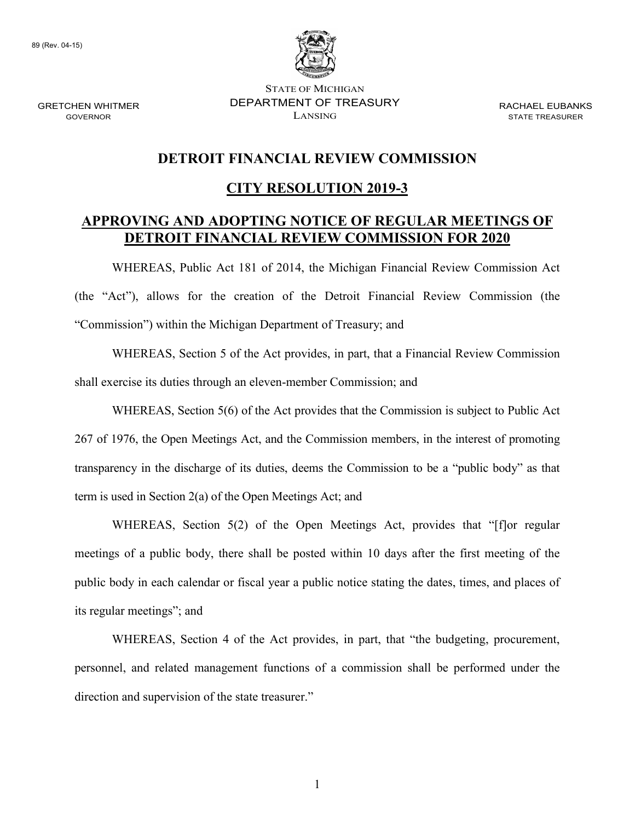89 (Rev. 04-15)



STATE OF MICHIGAN GRETCHEN WHITMER DEPARTMENT OF TREASURY RACHAEL EUBANKS  $\sum_{i=1}^{n}$  GOVERNOR STATE TREASURER

### **DETROIT FINANCIAL REVIEW COMMISSION**

#### **CITY RESOLUTION 2019-3**

#### **DETROIT FINANCIAL REVIEW COMMISSION FOR 2020 APPROVING AND ADOPTING NOTICE OF REGULAR MEETINGS OF**

WHEREAS, Public Act 181 of 2014, the Michigan Financial Review Commission Act (the "Act"), allows for the creation of the Detroit Financial Review Commission (the "Commission") within the Michigan Department of Treasury; and

WHEREAS, Section 5 of the Act provides, in part, that a Financial Review Commission shall exercise its duties through an eleven-member Commission; and

 transparency in the discharge of its duties, deems the Commission to be a "public body" as that term is used in Section 2(a) of the Open Meetings Act; and WHEREAS, Section 5(6) of the Act provides that the Commission is subject to Public Act 267 of 1976, the Open Meetings Act, and the Commission members, in the interest of promoting

WHEREAS, Section 5(2) of the Open Meetings Act, provides that "[f]or regular meetings of a public body, there shall be posted within 10 days after the first meeting of the public body in each calendar or fiscal year a public notice stating the dates, times, and places of its regular meetings"; and

WHEREAS, Section 4 of the Act provides, in part, that "the budgeting, procurement, personnel, and related management functions of a commission shall be performed under the direction and supervision of the state treasurer."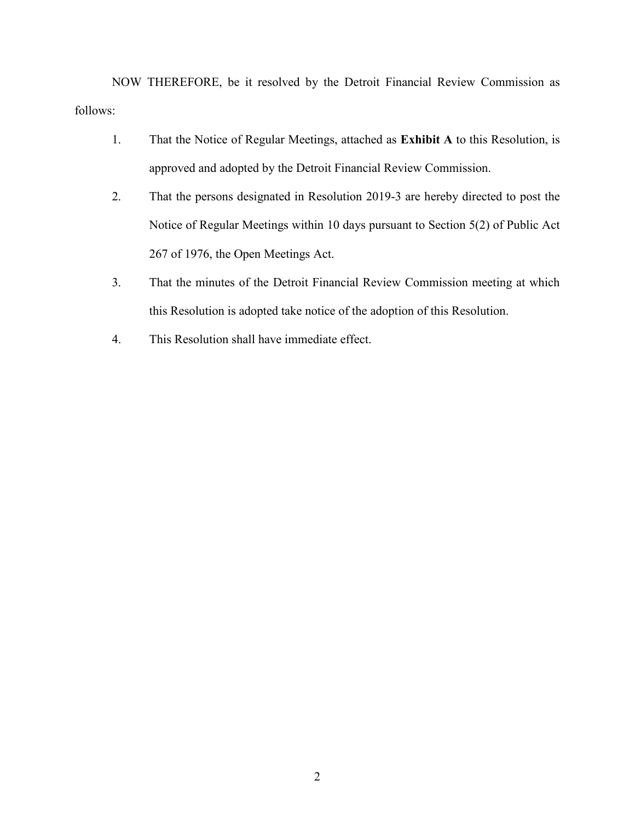NOW THEREFORE, be it resolved by the Detroit Financial Review Commission as follows:

- 1. That the Notice of Regular Meetings, attached as **Exhibit A** to this Resolution, is approved and adopted by the Detroit Financial Review Commission.
- 2. That the persons designated in Resolution 2019-3 are hereby directed to post the Notice of Regular Meetings within 10 days pursuant to Section 5(2) of Public Act 267 of 1976, the Open Meetings Act.
- 3. That the minutes of the Detroit Financial Review Commission meeting at which this Resolution is adopted take notice of the adoption of this Resolution.
- 4. This Resolution shall have immediate effect.